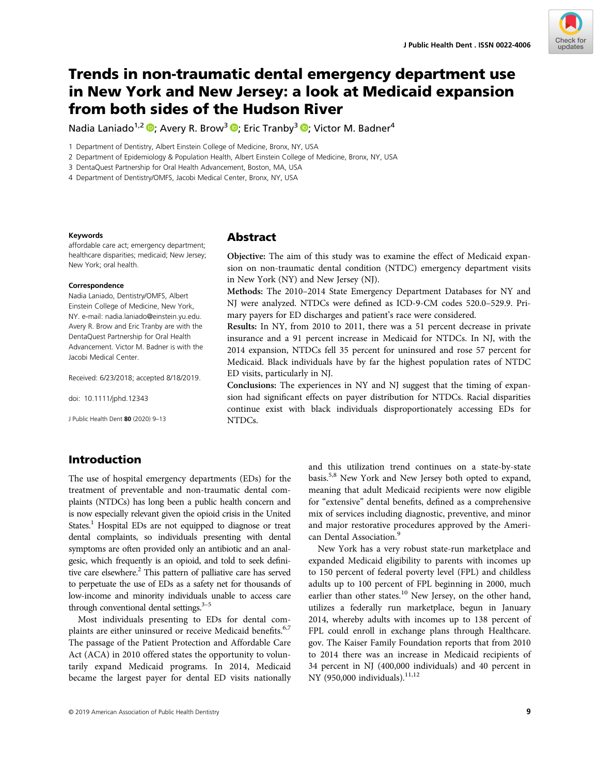

# Trends in non-traumatic dental emergency department use in New York and New Jersey: a look at Medicaid expansion from both sides of the Hudson River

Nadia Laniado<sup>1,2</sup>  $\Phi$ [;](https://orcid.org/0000-0002-3854-7162) Avery R. Brow<sup>3</sup>  $\Phi$ ; Eric Tranby<sup>3</sup>  $\Phi$ ; Victor M. Badner<sup>4</sup>

1 Department of Dentistry, Albert Einstein College of Medicine, Bronx, NY, USA

2 Department of Epidemiology & Population Health, Albert Einstein College of Medicine, Bronx, NY, USA

3 DentaQuest Partnership for Oral Health Advancement, Boston, MA, USA

4 Department of Dentistry/OMFS, Jacobi Medical Center, Bronx, NY, USA

#### Keywords

affordable care act; emergency department; healthcare disparities; medicaid; New Jersey; New York; oral health.

### Correspondence

Nadia Laniado, Dentistry/OMFS, Albert Einstein College of Medicine, New York, NY. e-mail: [nadia.laniado@einstein.yu.edu.](mailto:nadia.laniado@einstein.yu.edu) Avery R. Brow and Eric Tranby are with the DentaQuest Partnership for Oral Health Advancement. Victor M. Badner is with the Jacobi Medical Center.

Received: 6/23/2018; accepted 8/18/2019.

doi: 10.1111/jphd.12343

J Public Health Dent 80 (2020) 9–13

# Abstract

Objective: The aim of this study was to examine the effect of Medicaid expansion on non-traumatic dental condition (NTDC) emergency department visits in New York (NY) and New Jersey (NJ).

Methods: The 2010–2014 State Emergency Department Databases for NY and NJ were analyzed. NTDCs were defined as ICD-9-CM codes 520.0–529.9. Primary payers for ED discharges and patient's race were considered.

Results: In NY, from 2010 to 2011, there was a 51 percent decrease in private insurance and a 91 percent increase in Medicaid for NTDCs. In NJ, with the 2014 expansion, NTDCs fell 35 percent for uninsured and rose 57 percent for Medicaid. Black individuals have by far the highest population rates of NTDC ED visits, particularly in NJ.

Conclusions: The experiences in NY and NJ suggest that the timing of expansion had significant effects on payer distribution for NTDCs. Racial disparities continue exist with black individuals disproportionately accessing EDs for NTDCs.

# Introduction

The use of hospital emergency departments (EDs) for the treatment of preventable and non-traumatic dental complaints (NTDCs) has long been a public health concern and is now especially relevant given the opioid crisis in the United States.<sup>1</sup> Hospital EDs are not equipped to diagnose or treat dental complaints, so individuals presenting with dental symptoms are often provided only an antibiotic and an analgesic, which frequently is an opioid, and told to seek definitive care elsewhere.<sup>2</sup> This pattern of palliative care has served to perpetuate the use of EDs as a safety net for thousands of low-income and minority individuals unable to access care through conventional dental settings. $3-5$ 

Most individuals presenting to EDs for dental complaints are either uninsured or receive Medicaid benefits.<sup>6,7</sup> The passage of the Patient Protection and Affordable Care Act (ACA) in 2010 offered states the opportunity to voluntarily expand Medicaid programs. In 2014, Medicaid became the largest payer for dental ED visits nationally and this utilization trend continues on a state-by-state basis.5,8 New York and New Jersey both opted to expand, meaning that adult Medicaid recipients were now eligible for "extensive" dental benefits, defined as a comprehensive mix of services including diagnostic, preventive, and minor and major restorative procedures approved by the American Dental Association.<sup>9</sup>

New York has a very robust state-run marketplace and expanded Medicaid eligibility to parents with incomes up to 150 percent of federal poverty level (FPL) and childless adults up to 100 percent of FPL beginning in 2000, much earlier than other states.<sup>10</sup> New Jersey, on the other hand, utilizes a federally run marketplace, begun in January 2014, whereby adults with incomes up to 138 percent of FPL could enroll in exchange plans through [Healthcare.](http://healthcare.gov) [gov](http://healthcare.gov). The Kaiser Family Foundation reports that from 2010 to 2014 there was an increase in Medicaid recipients of 34 percent in NJ (400,000 individuals) and 40 percent in NY (950,000 individuals).<sup>11,12</sup>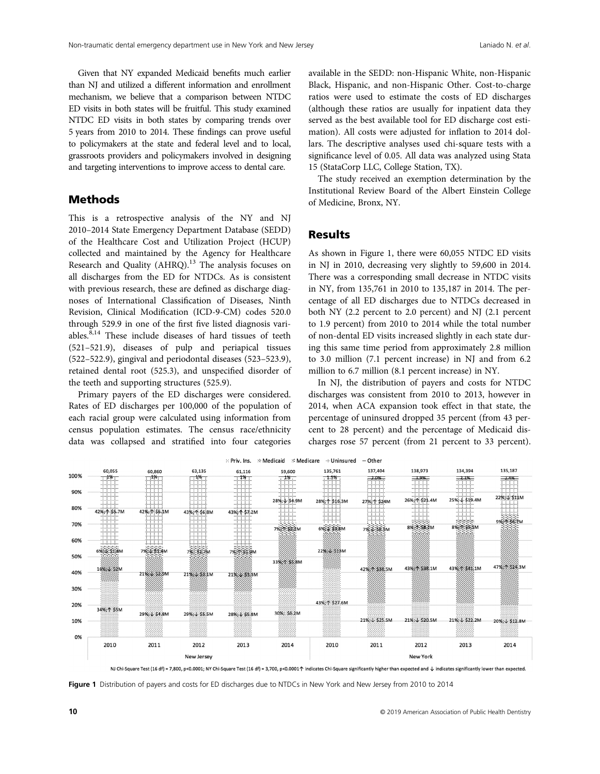Given that NY expanded Medicaid benefits much earlier than NJ and utilized a different information and enrollment mechanism, we believe that a comparison between NTDC ED visits in both states will be fruitful. This study examined NTDC ED visits in both states by comparing trends over 5 years from 2010 to 2014. These findings can prove useful to policymakers at the state and federal level and to local, grassroots providers and policymakers involved in designing and targeting interventions to improve access to dental care.

## Methods

This is a retrospective analysis of the NY and NJ 2010–2014 State Emergency Department Database (SEDD) of the Healthcare Cost and Utilization Project (HCUP) collected and maintained by the Agency for Healthcare Research and Quality  $(AHRQ)$ .<sup>13</sup> The analysis focuses on all discharges from the ED for NTDCs. As is consistent with previous research, these are defined as discharge diagnoses of International Classification of Diseases, Ninth Revision, Clinical Modification (ICD-9-CM) codes 520.0 through 529.9 in one of the first five listed diagnosis variables. $8,14$  These include diseases of hard tissues of teeth (521–521.9), diseases of pulp and periapical tissues (522–522.9), gingival and periodontal diseases (523–523.9), retained dental root (525.3), and unspecified disorder of the teeth and supporting structures (525.9).

Primary payers of the ED discharges were considered. Rates of ED discharges per 100,000 of the population of each racial group were calculated using information from census population estimates. The census race/ethnicity data was collapsed and stratified into four categories

available in the SEDD: non-Hispanic White, non-Hispanic Black, Hispanic, and non-Hispanic Other. Cost-to-charge ratios were used to estimate the costs of ED discharges (although these ratios are usually for inpatient data they served as the best available tool for ED discharge cost estimation). All costs were adjusted for inflation to 2014 dollars. The descriptive analyses used chi-square tests with a significance level of 0.05. All data was analyzed using Stata 15 (StataCorp LLC, College Station, TX).

The study received an exemption determination by the Institutional Review Board of the Albert Einstein College of Medicine, Bronx, NY.

### **Results**

As shown in Figure 1, there were 60,055 NTDC ED visits in NJ in 2010, decreasing very slightly to 59,600 in 2014. There was a corresponding small decrease in NTDC visits in NY, from 135,761 in 2010 to 135,187 in 2014. The percentage of all ED discharges due to NTDCs decreased in both NY (2.2 percent to 2.0 percent) and NJ (2.1 percent to 1.9 percent) from 2010 to 2014 while the total number of non-dental ED visits increased slightly in each state during this same time period from approximately 2.8 million to 3.0 million (7.1 percent increase) in NJ and from 6.2 million to 6.7 million (8.1 percent increase) in NY.

In NJ, the distribution of payers and costs for NTDC discharges was consistent from 2010 to 2013, however in 2014, when ACA expansion took effect in that state, the percentage of uninsured dropped 35 percent (from 43 percent to 28 percent) and the percentage of Medicaid discharges rose 57 percent (from 21 percent to 33 percent).



NJ Chi-Square Test (16 df) = 7,800, p<0.0001; NY Chi-Square Test (16 df) = 3,700, p<0.0001个 indicates Chi-Square significantly higher than expected and ↓ indicates significantly lower than expected

Figure 1 Distribution of payers and costs for ED discharges due to NTDCs in New York and New Jersey from 2010 to 2014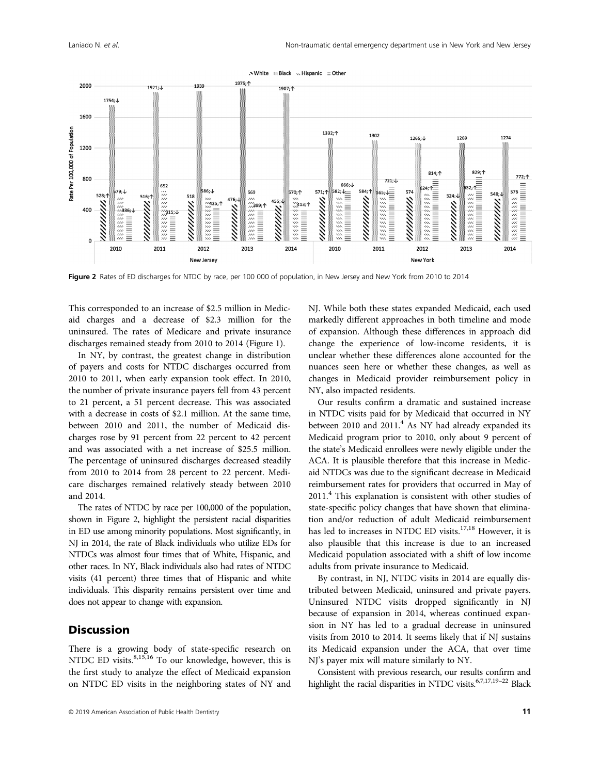

Figure 2 Rates of ED discharges for NTDC by race, per 100 000 of population, in New Jersey and New York from 2010 to 2014

This corresponded to an increase of \$2.5 million in Medicaid charges and a decrease of \$2.3 million for the uninsured. The rates of Medicare and private insurance discharges remained steady from 2010 to 2014 (Figure 1).

In NY, by contrast, the greatest change in distribution of payers and costs for NTDC discharges occurred from 2010 to 2011, when early expansion took effect. In 2010, the number of private insurance payers fell from 43 percent to 21 percent, a 51 percent decrease. This was associated with a decrease in costs of \$2.1 million. At the same time, between 2010 and 2011, the number of Medicaid discharges rose by 91 percent from 22 percent to 42 percent and was associated with a net increase of \$25.5 million. The percentage of uninsured discharges decreased steadily from 2010 to 2014 from 28 percent to 22 percent. Medicare discharges remained relatively steady between 2010 and 2014.

The rates of NTDC by race per 100,000 of the population, shown in Figure 2, highlight the persistent racial disparities in ED use among minority populations. Most significantly, in NJ in 2014, the rate of Black individuals who utilize EDs for NTDCs was almost four times that of White, Hispanic, and other races. In NY, Black individuals also had rates of NTDC visits (41 percent) three times that of Hispanic and white individuals. This disparity remains persistent over time and does not appear to change with expansion.

### **Discussion**

There is a growing body of state-specific research on NTDC ED visits.<sup>8,15,16</sup> To our knowledge, however, this is the first study to analyze the effect of Medicaid expansion on NTDC ED visits in the neighboring states of NY and NJ. While both these states expanded Medicaid, each used markedly different approaches in both timeline and mode of expansion. Although these differences in approach did change the experience of low-income residents, it is unclear whether these differences alone accounted for the nuances seen here or whether these changes, as well as changes in Medicaid provider reimbursement policy in NY, also impacted residents.

Our results confirm a dramatic and sustained increase in NTDC visits paid for by Medicaid that occurred in NY between 2010 and 2011. $4$  As NY had already expanded its Medicaid program prior to 2010, only about 9 percent of the state's Medicaid enrollees were newly eligible under the ACA. It is plausible therefore that this increase in Medicaid NTDCs was due to the significant decrease in Medicaid reimbursement rates for providers that occurred in May of 2011.<sup>4</sup> This explanation is consistent with other studies of state-specific policy changes that have shown that elimination and/or reduction of adult Medicaid reimbursement has led to increases in NTDC ED visits.<sup>17,18</sup> However, it is also plausible that this increase is due to an increased Medicaid population associated with a shift of low income adults from private insurance to Medicaid.

By contrast, in NJ, NTDC visits in 2014 are equally distributed between Medicaid, uninsured and private payers. Uninsured NTDC visits dropped significantly in NJ because of expansion in 2014, whereas continued expansion in NY has led to a gradual decrease in uninsured visits from 2010 to 2014. It seems likely that if NJ sustains its Medicaid expansion under the ACA, that over time NJ's payer mix will mature similarly to NY.

Consistent with previous research, our results confirm and highlight the racial disparities in NTDC visits.<sup>6,7,17,19-22</sup> Black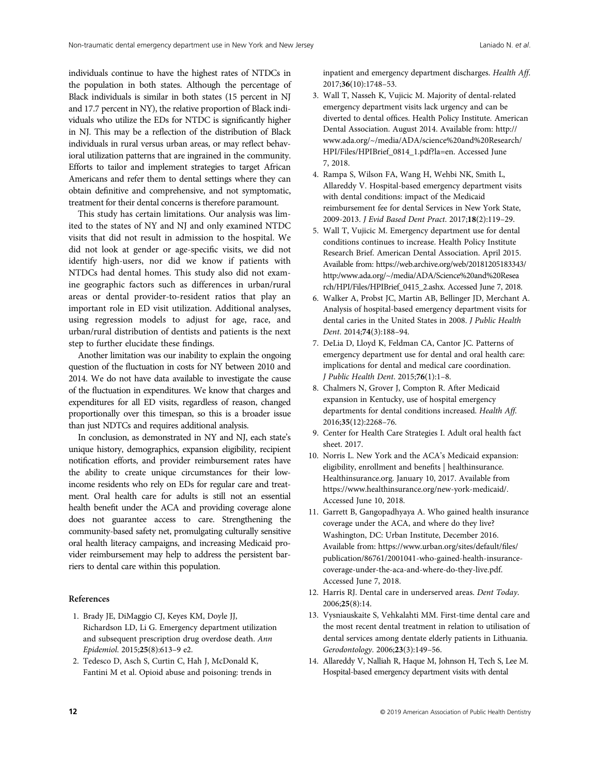individuals continue to have the highest rates of NTDCs in the population in both states. Although the percentage of Black individuals is similar in both states (15 percent in NJ and 17.7 percent in NY), the relative proportion of Black individuals who utilize the EDs for NTDC is significantly higher in NJ. This may be a reflection of the distribution of Black individuals in rural versus urban areas, or may reflect behavioral utilization patterns that are ingrained in the community. Efforts to tailor and implement strategies to target African Americans and refer them to dental settings where they can obtain definitive and comprehensive, and not symptomatic, treatment for their dental concerns is therefore paramount.

This study has certain limitations. Our analysis was limited to the states of NY and NJ and only examined NTDC visits that did not result in admission to the hospital. We did not look at gender or age-specific visits, we did not identify high-users, nor did we know if patients with NTDCs had dental homes. This study also did not examine geographic factors such as differences in urban/rural areas or dental provider-to-resident ratios that play an important role in ED visit utilization. Additional analyses, using regression models to adjust for age, race, and urban/rural distribution of dentists and patients is the next step to further elucidate these findings.

Another limitation was our inability to explain the ongoing question of the fluctuation in costs for NY between 2010 and 2014. We do not have data available to investigate the cause of the fluctuation in expenditures. We know that charges and expenditures for all ED visits, regardless of reason, changed proportionally over this timespan, so this is a broader issue than just NDTCs and requires additional analysis.

In conclusion, as demonstrated in NY and NJ, each state's unique history, demographics, expansion eligibility, recipient notification efforts, and provider reimbursement rates have the ability to create unique circumstances for their lowincome residents who rely on EDs for regular care and treatment. Oral health care for adults is still not an essential health benefit under the ACA and providing coverage alone does not guarantee access to care. Strengthening the community-based safety net, promulgating culturally sensitive oral health literacy campaigns, and increasing Medicaid provider reimbursement may help to address the persistent barriers to dental care within this population.

#### References

- 1. Brady JE, DiMaggio CJ, Keyes KM, Doyle JJ, Richardson LD, Li G. Emergency department utilization and subsequent prescription drug overdose death. Ann Epidemiol. 2015;25(8):613–9 e2.
- 2. Tedesco D, Asch S, Curtin C, Hah J, McDonald K, Fantini M et al. Opioid abuse and poisoning: trends in

inpatient and emergency department discharges. Health Aff. 2017;36(10):1748–53.

- 3. Wall T, Nasseh K, Vujicic M. Majority of dental-related emergency department visits lack urgency and can be diverted to dental offices. Health Policy Institute. American Dental Association. August 2014. Available from: [http://](http://www.ada.org/~/media/ADA/science%20and%20Research/HPI/Files/HPIBrief_0814_1.pdf?la=en) [www.ada.org/~/media/ADA/science%20and%20Research/](http://www.ada.org/~/media/ADA/science%20and%20Research/HPI/Files/HPIBrief_0814_1.pdf?la=en) [HPI/Files/HPIBrief\\_0814\\_1.pdf?la=en.](http://www.ada.org/~/media/ADA/science%20and%20Research/HPI/Files/HPIBrief_0814_1.pdf?la=en) Accessed June 7, 2018.
- 4. Rampa S, Wilson FA, Wang H, Wehbi NK, Smith L, Allareddy V. Hospital-based emergency department visits with dental conditions: impact of the Medicaid reimbursement fee for dental Services in New York State, 2009-2013. J Evid Based Dent Pract. 2017;18(2):119–29.
- 5. Wall T, Vujicic M. Emergency department use for dental conditions continues to increase. Health Policy Institute Research Brief. American Dental Association. April 2015. Available from: [https://web.archive.org/web/20181205183343/](https://web.archive.org/web/20181205183343/http:/www.ada.org/~/media/ADA/Science%20and%20Research/HPI/Files/HPIBrief_0415_2.ashx) [http:/www.ada.org/~/media/ADA/Science%20and%20Resea](https://web.archive.org/web/20181205183343/http:/www.ada.org/~/media/ADA/Science%20and%20Research/HPI/Files/HPIBrief_0415_2.ashx) [rch/HPI/Files/HPIBrief\\_0415\\_2.ashx.](https://web.archive.org/web/20181205183343/http:/www.ada.org/~/media/ADA/Science%20and%20Research/HPI/Files/HPIBrief_0415_2.ashx) Accessed June 7, 2018.
- 6. Walker A, Probst JC, Martin AB, Bellinger JD, Merchant A. Analysis of hospital-based emergency department visits for dental caries in the United States in 2008. J Public Health Dent. 2014;74(3):188–94.
- 7. DeLia D, Lloyd K, Feldman CA, Cantor JC. Patterns of emergency department use for dental and oral health care: implications for dental and medical care coordination. J Public Health Dent. 2015;76(1):1–8.
- 8. Chalmers N, Grover J, Compton R. After Medicaid expansion in Kentucky, use of hospital emergency departments for dental conditions increased. Health Aff. 2016;35(12):2268–76.
- 9. Center for Health Care Strategies I. Adult oral health fact sheet. 2017.
- 10. Norris L. New York and the ACA's Medicaid expansion: eligibility, enrollment and benefits | healthinsurance. [Healthinsurance.org.](http://healthinsurance.org) January 10, 2017. Available from <https://www.healthinsurance.org/new-york-medicaid/>. Accessed June 10, 2018.
- 11. Garrett B, Gangopadhyaya A. Who gained health insurance coverage under the ACA, and where do they live? Washington, DC: Urban Institute, December 2016. Available from: [https://www.urban.org/sites/default/](https://www.urban.org/sites/default/files/publication/86761/2001041-who-gained-health-insurance-coverage-under-the-aca-and-where-do-they-live.pdf)files/ [publication/86761/2001041-who-gained-health-insurance](https://www.urban.org/sites/default/files/publication/86761/2001041-who-gained-health-insurance-coverage-under-the-aca-and-where-do-they-live.pdf)[coverage-under-the-aca-and-where-do-they-live.pdf](https://www.urban.org/sites/default/files/publication/86761/2001041-who-gained-health-insurance-coverage-under-the-aca-and-where-do-they-live.pdf). Accessed June 7, 2018.
- 12. Harris RJ. Dental care in underserved areas. Dent Today. 2006;25(8):14.
- 13. Vysniauskaite S, Vehkalahti MM. First-time dental care and the most recent dental treatment in relation to utilisation of dental services among dentate elderly patients in Lithuania. Gerodontology. 2006;23(3):149–56.
- 14. Allareddy V, Nalliah R, Haque M, Johnson H, Tech S, Lee M. Hospital-based emergency department visits with dental